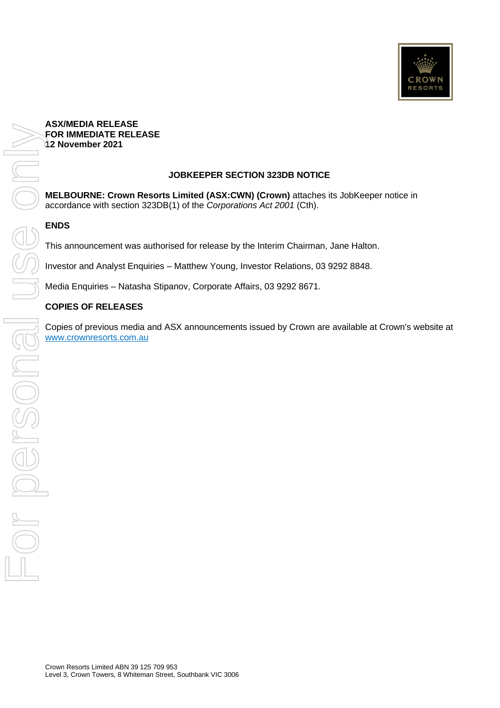

#### **ASX/MEDIA RELEASE FOR IMMEDIATE RELEASE 12 November 2021**

#### **JOBKEEPER SECTION 323DB NOTICE**

**MELBOURNE: Crown Resorts Limited (ASX:CWN) (Crown)** attaches its JobKeeper notice in accordance with section 323DB(1) of the *Corporations Act 2001* (Cth).

### **ENDS**

This announcement was authorised for release by the Interim Chairman, Jane Halton.

Investor and Analyst Enquiries – Matthew Young, Investor Relations, 03 9292 8848.

Media Enquiries – Natasha Stipanov, Corporate Affairs, 03 9292 8671.

### **COPIES OF RELEASES**

Copies of previous media and ASX announcements issued by Crown are available at Crown's website at